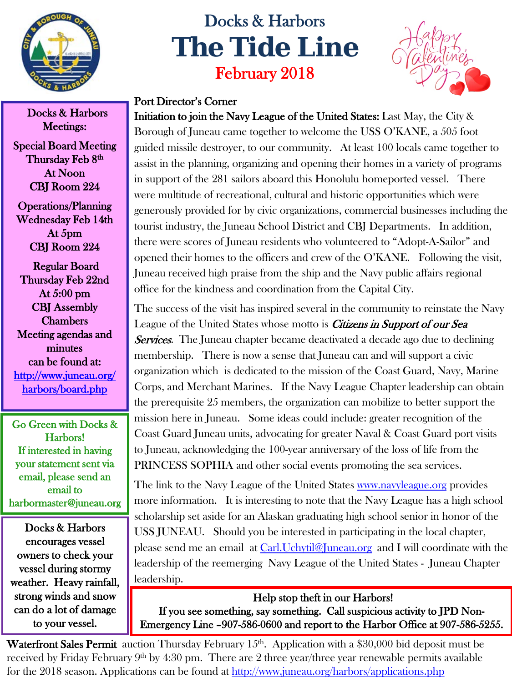

## Docks & Harbors **The Tide Line** February 2018



## Port Director's Corner

Initiation to join the Navy League of the United States: Last May, the City & Borough of Juneau came together to welcome the USS O'KANE, a 505 foot guided missile destroyer, to our community. At least 100 locals came together to assist in the planning, organizing and opening their homes in a variety of programs in support of the 281 sailors aboard this Honolulu homeported vessel. There were multitude of recreational, cultural and historic opportunities which were generously provided for by civic organizations, commercial businesses including the tourist industry, the Juneau School District and CBJ Departments. In addition, there were scores of Juneau residents who volunteered to "Adopt-A-Sailor" and opened their homes to the officers and crew of the O'KANE. Following the visit, Juneau received high praise from the ship and the Navy public affairs regional office for the kindness and coordination from the Capital City.

The success of the visit has inspired several in the community to reinstate the Navy League of the United States whose motto is *Citizens in Support of our Sea* **Services.** The Juneau chapter became deactivated a decade ago due to declining membership. There is now a sense that Juneau can and will support a civic organization which is dedicated to the mission of the Coast Guard, Navy, Marine Corps, and Merchant Marines. If the Navy League Chapter leadership can obtain the prerequisite 25 members, the organization can mobilize to better support the mission here in Juneau. Some ideas could include: greater recognition of the Coast Guard Juneau units, advocating for greater Naval & Coast Guard port visits to Juneau, acknowledging the 100-year anniversary of the loss of life from the PRINCESS SOPHIA and other social events promoting the sea services.

The link to the Navy League of the United States **[www.navyleague.org](http://www.navyleague.org/)** provides more information. It is interesting to note that the Navy League has a high school scholarship set aside for an Alaskan graduating high school senior in honor of the USS JUNEAU. Should you be interested in participating in the local chapter, please send me an email at [Carl.Uchytil@Juneau.org](mailto:Carl.Uchytil@Juneau.org) and I will coordinate with the leadership of the reemerging Navy League of the United States - Juneau Chapter leadership.

 Help stop theft in our Harbors! If you see something, say something. Call suspicious activity to JPD Non-Emergency Line –907-586-0600 and report to the Harbor Office at 907-586-5255.

Waterfront Sales Permit auction Thursday February  $15<sup>th</sup>$ . Application with a \$30,000 bid deposit must be received by Friday February  $9<sup>th</sup>$  by 4:30 pm. There are 2 three year/three year renewable permits available for the 2018 season. Applications can be found at<http://www.juneau.org/harbors/applications.php>

Docks & Harbors Meetings:

Special Board Meeting Thursday Feb 8<sup>th</sup> At Noon CBJ Room 224

Operations/Planning Wednesday Feb 14th At 5pm CBJ Room 224

 Regular Board Thursday Feb 22nd At 5:00 pm CBJ Assembly Chambers Meeting agendas and minutes can be found at: [http://www.juneau.org/](http://www.juneau.org/harbors/board.php)  [harbors/board.php](http://www.juneau.org/harbors/board.php)

Go Green with Docks & Harbors! If interested in having your statement sent via email, please send an email to harbormaster@juneau.org

Docks & Harbors encourages vessel owners to check your vessel during stormy weather. Heavy rainfall, strong winds and snow can do a lot of damage to your vessel.